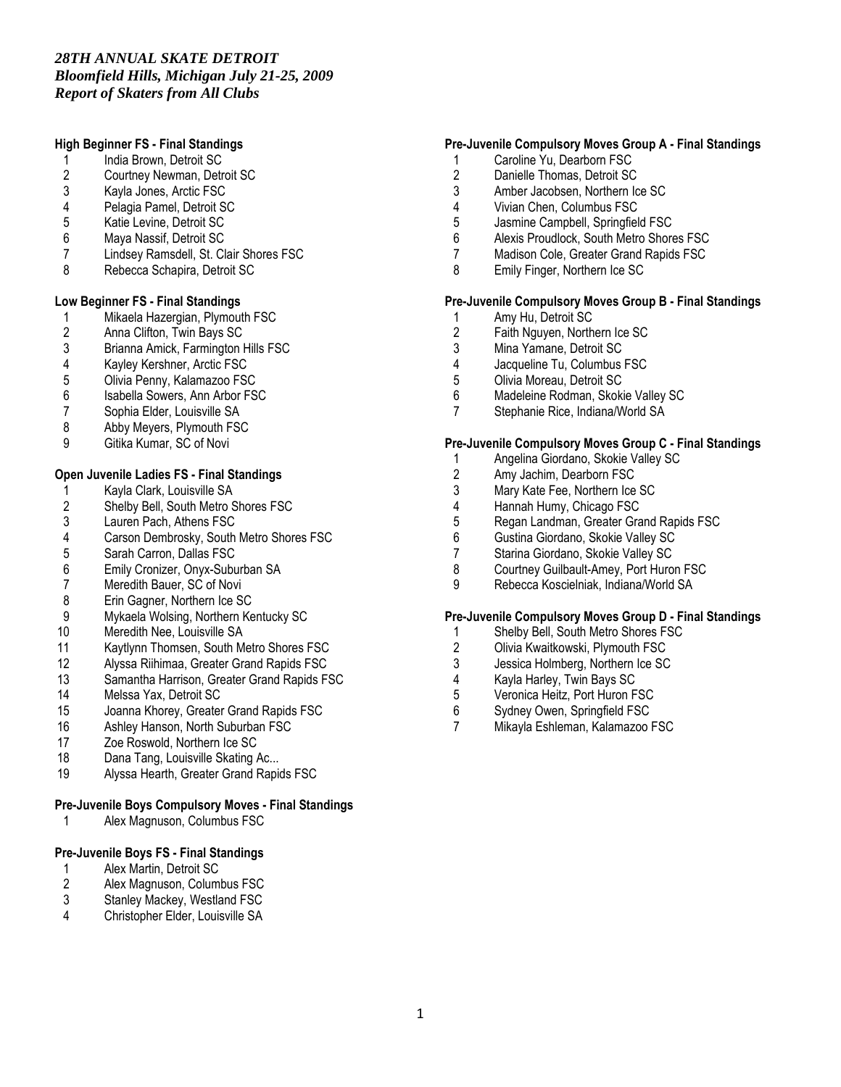# *28TH ANNUAL SKATE DETROIT Bloomfield Hills, Michigan July 21-25, 2009 Report of Skaters from All Clubs*

# High Beginner FS - Final Standings

- 1 India Brown, Detroit SC<br>2 Courtney Newman, Detr
- 2 Courtney Newman, Detroit SC<br>3 Kavla Jones, Arctic FSC
- 3 Kayla Jones, Arctic FSC<br>4 Pelagia Pamel, Detroit SO
- 4 Pelagia Pamel, Detroit SC<br>5 Katie Levine, Detroit SC
- Katie Levine, Detroit SC
- 6 Maya Nassif, Detroit SC
- 7 Lindsey Ramsdell, St. Clair Shores FSC
- 8 Rebecca Schapira, Detroit SC

#### Low Beginner FS - Final Standings

- 1 Mikaela Hazergian, Plymouth FSC<br>2 Anna Clifton, Twin Bays SC
- 2 Anna Clifton, Twin Bays SC<br>3 Brianna Amick, Farmington I
- 3 Brianna Amick, Farmington Hills FSC<br>4 Kayley Kershner, Arctic FSC
- 
- 4 Kayley Kershner, Arctic FSC
- 5 Olivia Penny, Kalamazoo FSC
- 6 Isabella Sowers, Ann Arbor FSC<br>7 Sophia Elder, Louisville SA Sophia Elder, Louisville SA
- 8 Abby Meyers, Plymouth FSC
- 9 Gitika Kumar, SC of Novi

# Open Juvenile Ladies FS - Final Standings

- 1 Kayla Clark, Louisville SA<br>2 Shelby Bell, South Metro S
- 2 Shelby Bell, South Metro Shores FSC<br>3 Lauren Pach, Athens FSC
- 3 Lauren Pach, Athens FSC
- 4 Carson Dembrosky, South Metro Shores FSC
- 5 Sarah Carron, Dallas FSC
- 6 Emily Cronizer, Onyx-Suburban SA
- 7 Meredith Bauer, SC of Novi<br>8 Erin Gagner, Northern Ice SO
- Erin Gagner, Northern Ice SC
- 9 Mykaela Wolsing, Northern Kentucky SC
- 10 Meredith Nee, Louisville SA
- 11 Kaytlynn Thomsen, South Metro Shores FSC<br>12 Alvssa Riihimaa, Greater Grand Rapids FSC
- 12 Alyssa Riihimaa, Greater Grand Rapids FSC<br>13 Samantha Harrison, Greater Grand Rapids F&
- Samantha Harrison, Greater Grand Rapids FSC
- 14 Melssa Yax, Detroit SC
- 15 Joanna Khorey, Greater Grand Rapids FSC<br>16 Ashley Hanson, North Suburban FSC
- Ashley Hanson, North Suburban FSC
- 17 Zoe Roswold, Northern Ice SC
- 
- 18 Dana Tang, Louisville Skating Ac...<br>19 Alvssa Hearth, Greater Grand Rapic Alyssa Hearth, Greater Grand Rapids FSC

# Pre-Juvenile Boys Compulsory Moves - Final Standings

1 Alex Magnuson, Columbus FSC

# Pre-Juvenile Boys FS - Final Standings

- 1 Alex Martin, Detroit SC<br>2 Alex Magnuson, Colum
- 2 Alex Magnuson, Columbus FSC<br>3 Stanley Mackey. Westland FSC
- 3 Stanley Mackey, Westland FSC<br>4 Christopher Elder, Louisville SA
- 4 Christopher Elder, Louisville SA

# Pre-Juvenile Compulsory Moves Group A - Final Standings

- 1 Caroline Yu, Dearborn FSC
- 2 Danielle Thomas, Detroit SC<br>3 Amber Jacobsen. Northern Id
- 3 Amber Jacobsen, Northern Ice SC
- 4 Vivian Chen, Columbus FSC
- 5 Jasmine Campbell, Springfield FSC<br>6 Alexis Proudlock South Metro Shore
- 6 Alexis Proudlock, South Metro Shores FSC
- 7 Madison Cole, Greater Grand Rapids FSC
- 8 Emily Finger, Northern Ice SC

# Pre-Juvenile Compulsory Moves Group B - Final Standings

- 1 Amy Hu, Detroit SC<br>2 Faith Nauven. North
- 2 Faith Nguyen, Northern Ice SC<br>3 Mina Yamane. Detroit SC
- 3 Mina Yamane, Detroit SC<br>4 Jacqueline Tu. Columbus
- 4 Jacqueline Tu, Columbus FSC<br>5 Olivia Moreau. Detroit SC
- 5 Olivia Moreau, Detroit SC
- 6 Madeleine Rodman, Skokie Valley SC<br>7 Stephanie Rice, Indiana/World SA
- Stephanie Rice, Indiana/World SA

#### Pre-Juvenile Compulsory Moves Group C - Final Standings

- 1 Angelina Giordano, Skokie Valley SC<br>2 Amy Jachim. Dearborn FSC
- 2 Amy Jachim, Dearborn FSC<br>3 Mary Kate Fee, Northern Ice
- 3 Mary Kate Fee, Northern Ice SC<br>4 Hannah Humy, Chicago FSC
- 4 Hannah Humy, Chicago FSC<br>5 Regan Landman, Greater Gra
- 5 Regan Landman, Greater Grand Rapids FSC<br>6 Gustina Giordano, Skokie Vallev SC
- 6 Gustina Giordano, Skokie Valley SC
- Starina Giordano, Skokie Valley SC
- 8 Courtney Guilbault-Amey, Port Huron FSC
- 9 Rebecca Koscielniak, Indiana/World SA

#### Pre-Juvenile Compulsory Moves Group D - Final Standings

- 1 Shelby Bell, South Metro Shores FSC<br>2 Olivia Kwaitkowski. Plymouth FSC
- 2 Olivia Kwaitkowski, Plymouth FSC<br>3 Jessica Holmberg. Northern Ice SC
- 3 Jessica Holmberg, Northern Ice SC<br>4 Kayla Harley, Twin Bays SC
- 4 Kayla Harley, Twin Bays SC<br>5 Veronica Heitz, Port Huron F
- 5 Veronica Heitz, Port Huron FSC<br>6 Sydney Owen. Springfield FSC
- 6 Sydney Owen, Springfield FSC
- 7 Mikayla Eshleman, Kalamazoo FSC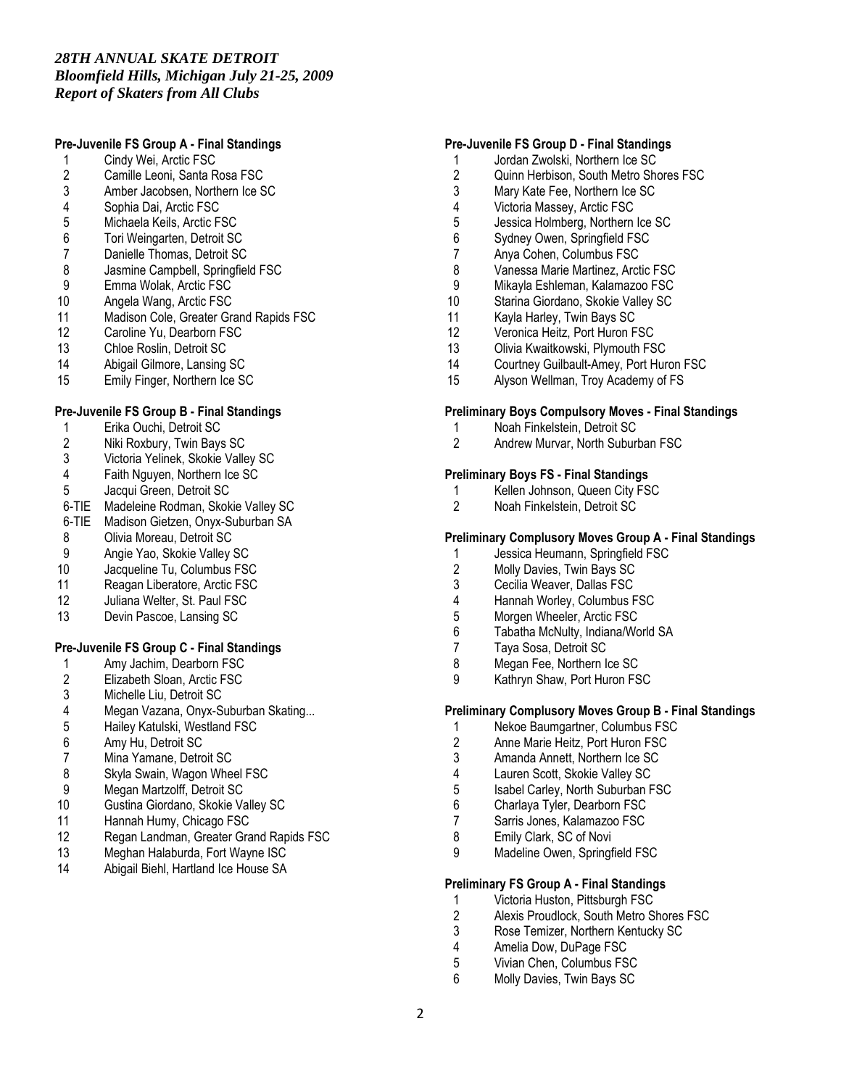# *28TH ANNUAL SKATE DETROIT Bloomfield Hills, Michigan July 21-25, 2009 Report of Skaters from All Clubs*

# Pre-Juvenile FS Group A - Final Standings

- 1 Cindy Wei, Arctic FSC<br>2 Camille Leoni, Santa R
- 2 Camille Leoni, Santa Rosa FSC<br>3 Amber Jacobsen, Northern Ice S
- 3 Amber Jacobsen, Northern Ice SC<br>4 Sophia Dai, Arctic FSC
- 
- 4 Sophia Dai, Arctic FSC<br>5 Michaela Keils, Arctic F
- 5 Michaela Keils, Arctic FSC<br>6 Tori Weingarten, Detroit SC
- 6 Tori Weingarten, Detroit SC Danielle Thomas, Detroit SC
- 8 Jasmine Campbell, Springfield FSC<br>9 Emma Wolak, Arctic FSC
- 
- 9 Emma Wolak, Arctic FSC<br>10 Angela Wang, Arctic FSC
- 10 Angela Wang, Arctic FSC<br>11 Madison Cole. Greater Gra 11 Madison Cole, Greater Grand Rapids FSC<br>12 Caroline Yu. Dearborn FSC
- Caroline Yu, Dearborn FSC
- 
- 13 Chloe Roslin, Detroit SC<br>14 Abigail Gilmore, Lansing Abigail Gilmore, Lansing SC
- 15 Emily Finger, Northern Ice SC

# Pre-Juvenile FS Group B - Final Standings

- 1 Erika Ouchi, Detroit SC<br>2 Niki Roxbury, Twin Bay
- 2 Niki Roxbury, Twin Bays SC<br>3 Victoria Yelinek, Skokie Valle
- 3 Victoria Yelinek, Skokie Valley SC
- Faith Nguyen, Northern Ice SC
- 5 Jacqui Green, Detroit SC
- 6-TIE Madeleine Rodman, Skokie Valley SC
- 6-TIE Madison Gietzen, Onyx-Suburban SA
- 8 Olivia Moreau, Detroit SC<br>9 Angie Yao, Skokie Valley
- 9 Angie Yao, Skokie Valley SC<br>10 Jacqueline Tu, Columbus FS
- Jacqueline Tu, Columbus FSC
- 11 Reagan Liberatore, Arctic FSC<br>12 Juliana Welter, St. Paul FSC
- Juliana Welter, St. Paul FSC
- 13 Devin Pascoe, Lansing SC

### Pre-Juvenile FS Group C - Final Standings

- 1 Amy Jachim, Dearborn FSC<br>2 Elizabeth Sloan, Arctic FSC
- 2 Elizabeth Sloan, Arctic FSC<br>3 Michelle Liu, Detroit SC
- 3 Michelle Liu, Detroit SC<br>4 Megan Vazana, Onvx-S
- 4 Megan Vazana, Onyx-Suburban Skating...
- 5 Hailey Katulski, Westland FSC<br>6 Amy Hu. Detroit SC
- 6 Amy Hu, Detroit SC
- 
- 7 Mina Yamane, Detroit SC<br>8 Skyla Swain, Wagon Whe
- 8 Skyla Swain, Wagon Wheel FSC<br>9 Megan Martzolff. Detroit SC Megan Martzolff, Detroit SC
- 
- 10 Gustina Giordano, Skokie Valley SC<br>11 Hannah Humv. Chicago FSC
- 11 Hannah Humy, Chicago FSC<br>12 Regan Landman, Greater Gra 12 Regan Landman, Greater Grand Rapids FSC<br>13 Meghan Halaburda, Fort Wayne ISC
- 13 Meghan Halaburda, Fort Wayne ISC<br>14 Abigail Biehl, Hartland Ice House SA
- Abigail Biehl, Hartland Ice House SA

#### Pre-Juvenile FS Group D - Final Standings

- 1 Jordan Zwolski, Northern Ice SC
- 2 Quinn Herbison, South Metro Shores FSC<br>3 Mary Kate Fee. Northern Ice SC
- Mary Kate Fee, Northern Ice SC
- 4 Victoria Massey, Arctic FSC
- 5 Jessica Holmberg, Northern Ice SC<br>6 Sydney Owen, Springfield FSC
- Sydney Owen, Springfield FSC
- 7 Anya Cohen, Columbus FSC
- 8 Vanessa Marie Martinez, Arctic FSC<br>9 Mikavla Eshleman, Kalamazoo FSC
- 9 Mikayla Eshleman, Kalamazoo FSC<br>10 Starina Giordano, Skokie Vallev SC
- 10 Starina Giordano, Skokie Valley SC<br>11 Kavla Harley, Twin Bays SC
- Kayla Harley, Twin Bays SC
- 12 Veronica Heitz, Port Huron FSC
- 13 Olivia Kwaitkowski, Plymouth FSC<br>14 Courtney Guilbault-Amey. Port Hur
- Courtney Guilbault-Amey, Port Huron FSC
- 15 Alyson Wellman, Troy Academy of FS

#### Preliminary Boys Compulsory Moves - Final Standings

- 1 Noah Finkelstein, Detroit SC<br>2 Andrew Murvar, North Suburi
- 2 Andrew Murvar, North Suburban FSC

#### Preliminary Boys FS - Final Standings

- 1 Kellen Johnson, Queen City FSC<br>2 Noah Finkelstein Detroit SC
- 2 Noah Finkelstein, Detroit SC

### Preliminary Complusory Moves Group A - Final Standings

- 1 Jessica Heumann, Springfield FSC<br>2 Molly Davies. Twin Bays SC
- 2 Molly Davies, Twin Bays SC
- 
- 3 Cecilia Weaver, Dallas FSC<br>4 Hannah Worley, Columbus F 4 Hannah Worley, Columbus FSC<br>5 Morgen Wheeler, Arctic FSC
- Morgen Wheeler, Arctic FSC
- 6 Tabatha McNulty, Indiana/World SA
- 
- 7 Taya Sosa, Detroit SC<br>8 Megan Fee Northern In
- 8 Megan Fee, Northern Ice SC<br>9 Kathrvn Shaw, Port Huron FS Kathryn Shaw, Port Huron FSC

### Preliminary Complusory Moves Group B - Final Standings

- 1 Nekoe Baumgartner, Columbus FSC<br>2 Anne Marie Heitz, Port Huron FSC
- 2 Anne Marie Heitz, Port Huron FSC
- 3 Amanda Annett, Northern Ice SC<br>4 Lauren Scott Skokie Valley SC
- 4 Lauren Scott, Skokie Valley SC<br>5 Isabel Carlev. North Suburban F
- 5 Isabel Carley, North Suburban FSC
- 6 Charlaya Tyler, Dearborn FSC<br>7 Sarris Jones Kalamazoo FSC
- 7 Sarris Jones, Kalamazoo FSC<br>8 Emily Clark. SC of Novi
- Emily Clark, SC of Novi
- 9 Madeline Owen, Springfield FSC

#### Preliminary FS Group A - Final Standings

- 1 Victoria Huston, Pittsburgh FSC<br>2 Alexis Proudlock. South Metro S
- 2 Alexis Proudlock, South Metro Shores FSC<br>3 Rose Temizer. Northern Kentucky SC
- 3 Rose Temizer, Northern Kentucky SC<br>4 Amelia Dow, DuPage FSC
- 4 Amelia Dow, DuPage FSC<br>5 Vivian Chen. Columbus FS
- 5 Vivian Chen, Columbus FSC<br>6 Molly Davies Twin Bays SC
- 6 Molly Davies, Twin Bays SC